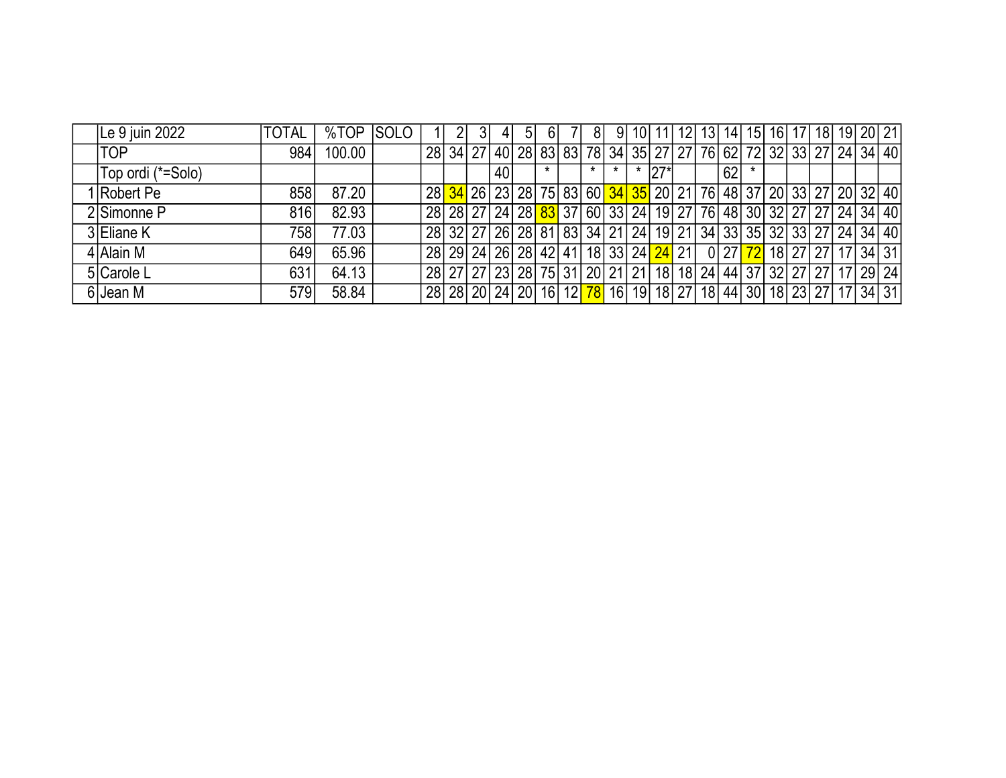| Le 9 juin 2022    | <b>TOTAL</b>     | %TOP   | <b>SOLO</b> |  | 41              | 5 <sub>l</sub> | <sup>6</sup> | 81      | 9 <sup>1</sup> | 10 | 11          | 12                                                             | 13 <sup>1</sup> |    |  |  |  | 14   15   16   17   18   19   20   21 |
|-------------------|------------------|--------|-------------|--|-----------------|----------------|--------------|---------|----------------|----|-------------|----------------------------------------------------------------|-----------------|----|--|--|--|---------------------------------------|
| <b>TOP</b>        | 984              | 100.00 |             |  |                 |                |              |         |                |    |             | 28 34 27 40 28 83 83 78 34 35 27 27 76 62 72 32 33 27 24 34 40 |                 |    |  |  |  |                                       |
| Top ordi (*=Solo) |                  |        |             |  | 40 <sub>l</sub> |                |              | $\star$ | $\star$        |    | $\cdot$ 27* |                                                                |                 | 62 |  |  |  |                                       |
| 1 Robert Pe       | 858              | 87.20  |             |  |                 |                |              |         |                |    |             | 28 34 26 23 28 75 83 60 34 35 20 21 76 48 37 20 33 27 20 32 40 |                 |    |  |  |  |                                       |
| 2 Simonne P       | 816              | 82.93  |             |  |                 |                |              |         |                |    |             | 28 28 27 24 28 37 37 60 33 24 19 27 76 48 30 32 27 27 24 34 40 |                 |    |  |  |  |                                       |
| 3 Eliane K        | 758              | 77.03  |             |  |                 |                |              |         |                |    |             | 28 32 27 26 28 31 33 34 21 24 19 21 34 33 35 32 33 27 24 34 40 |                 |    |  |  |  |                                       |
| 4 Alain M         | 649              | 65.96  |             |  |                 |                |              |         |                |    |             | 28 29 24 26 28 42 41 18 33 24 24 21 0 27 72 18 27 27 17 34 31  |                 |    |  |  |  |                                       |
| 5 Carole L        | 631 <sub>1</sub> | 64.13  |             |  |                 |                |              |         |                |    |             | 28 27 27 23 28 75 31 20 21 21 18 18 24 44 37 32 27 27 17 29 24 |                 |    |  |  |  |                                       |
| 6 Jean M          | 579              | 58.84  |             |  |                 |                |              |         |                |    |             | 28 28 20 24 20 16 12 78 16 19 18 27 18 44 30 18 23 27 17 34 31 |                 |    |  |  |  |                                       |